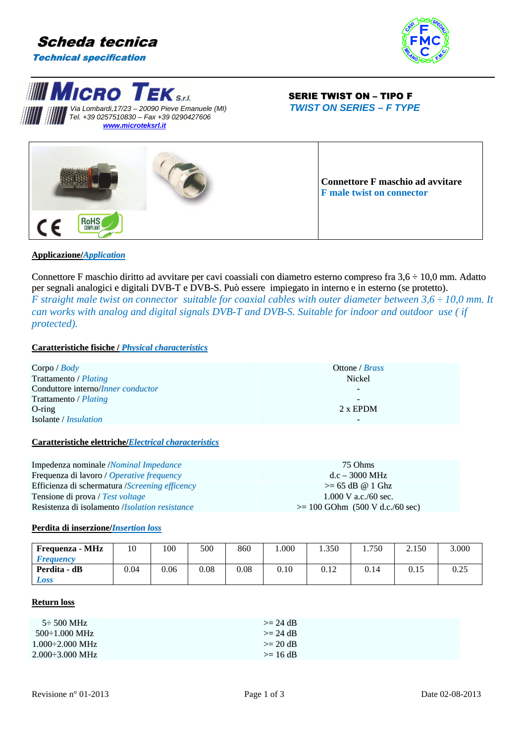







# **Applicazione/***Application*

Connettore F maschio diritto ad avvitare per cavi coassiali con diametro esterno compreso fra  $3.6 \div 10.0$  mm. Adatto per segnali analogici e digitali DVB-T e DVB-S. Può essere impiegato in interno e in esterno (se protetto). *F* straight male twist on connector suitable for coaxial cables with outer diameter between  $3.6 \div 10.0$  mm. It *can works with analog and digital signals DVB-T and DVB-S. Suitable for indoor and outdoor use ( if protected).* 

# **Caratteristiche fisiche /** *Physical characteristics*

| Corpo / $Body$                             | Ottone / <i>Brass</i> |
|--------------------------------------------|-----------------------|
| Trattamento / Plating                      | Nickel                |
| Conduttore interno/ <i>Inner conductor</i> | -                     |
| Trattamento / Plating                      | -                     |
| $O$ -ring                                  | $2x$ EPDM             |
| Isolante / <i>Insulation</i>               | -                     |

### **Caratteristiche elettriche/***Electrical characteristics*

| Impedenza nominale /Nominal Impedance                   | 75 Ohms                           |
|---------------------------------------------------------|-----------------------------------|
| Frequenza di lavoro / Operative frequency               | $d.c = 3000 MHz$                  |
| Efficienza di schermatura <i>(Screening efficency</i> ) | $\geq$ 65 dB @ 1 Ghz              |
| Tensione di prova / Test voltage                        | $1.000$ V a.c./60 sec.            |
| Resistenza di isolamento <i>(Isolation resistance</i> ) | $>= 100$ GOhm (500 V d.c./60 sec) |

### **Perdita di inserzione/***Insertion loss*

| Frequenza - MHz         | 10   | 100  | 500  | 860  | .000 | 1.350 | 1.750 | 2.150 | 3.000        |
|-------------------------|------|------|------|------|------|-------|-------|-------|--------------|
| <i><b>Frequency</b></i> |      |      |      |      |      |       |       |       |              |
| Perdita - dB            | 0.04 | 0.06 | 0.08 | 0.08 | 0.10 | 0.12  | 0.14  | 0.15  | ስ ጎሩ<br>U.ZJ |
| Loss                    |      |      |      |      |      |       |       |       |              |

# **Return loss**

| $5\div 500$ MHz                | $>= 24$ dB   |
|--------------------------------|--------------|
| $500 \div 1.000 \text{ MHz}$   | $\geq$ 24 dB |
| $1.000\div 2.000$ MHz          | $>= 20 dB$   |
| $2.000 \div 3.000 \text{ MHz}$ | $\geq$ 16 dB |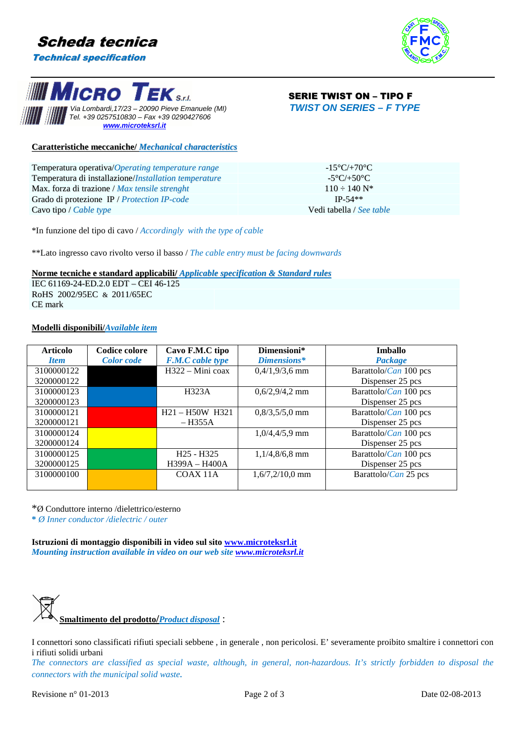







**Caratteristiche meccaniche/** *Mechanical characteristics*

| Temperatura operativa/Operating temperature range     | $-15^{\circ}$ C/+70 $^{\circ}$ C |
|-------------------------------------------------------|----------------------------------|
| Temperatura di installazione/Installation temperature | -5°C/+50°C.                      |
| Max. forza di trazione / <i>Max tensile strenght</i>  | $110 - 140$ N <sup>*</sup>       |
| Grado di protezione IP / Protection IP-code           | $IP-54**$                        |
| Cavo tipo / <i>Cable type</i>                         | Vedi tabella / See table         |

\*In funzione del tipo di cavo / *Accordingly with the type of cable*

\*\*Lato ingresso cavo rivolto verso il basso / *The cable entry must be facing downwards*

### **Norme tecniche e standard applicabili/** *Applicable specification & Standard rules*

IEC 61169-24-ED.2.0 EDT – CEI 46-125 RoHS 2002/95EC & 2011/65EC CE mark

# **Modelli disponibili/***Available item*

| <b>Articolo</b> | Codice colore     | Cavo F.M.C tipo         | Dimensioni*       | Imballo                       |
|-----------------|-------------------|-------------------------|-------------------|-------------------------------|
| <b>Item</b>     | <b>Color</b> code | <b>F.M.C</b> cable type | Dimensions*       | Package                       |
| 3100000122      |                   | $H322 - Mini coax$      | $0,4/1,9/3,6$ mm  | Barattolo/Can 100 pcs         |
| 3200000122      |                   |                         |                   | Dispenser 25 pcs              |
| 3100000123      |                   | H323A                   | $0,6/2,9/4,2$ mm  | Barattolo/ <i>Can</i> 100 pcs |
| 3200000123      |                   |                         |                   | Dispenser 25 pcs              |
| 3100000121      |                   | $H21 - H50W$ H321       | $0,8/3,5/5,0$ mm  | Barattolo/Can 100 pcs         |
| 3200000121      |                   | – H355A                 |                   | Dispenser 25 pcs              |
| 3100000124      |                   |                         | $1,0/4,4/5,9$ mm  | Barattolo/Can 100 pcs         |
| 3200000124      |                   |                         |                   | Dispenser 25 pcs              |
| 3100000125      |                   | $H25 - H325$            | $1,1/4,8/6,8$ mm  | Barattolo/Can 100 pcs         |
| 3200000125      |                   | H399A - H400A           |                   | Dispenser 25 pcs              |
| 3100000100      |                   | COAX 11A                | $1,6/7,2/10,0$ mm | Barattolo/Can 25 pcs          |
|                 |                   |                         |                   |                               |

\*Ø Conduttore interno /dielettrico/esterno

**\*** *Ø Inner conductor /dielectric / outer*

**Istruzioni di montaggio disponibili in video sul sito www.microteksrl.it** *Mounting instruction available in video on our web site www.microteksrl.it*



I connettori sono classificati rifiuti speciali sebbene , in generale , non pericolosi. E' severamente proibito smaltire i connettori con i rifiuti solidi urbani

*The connectors are classified as special waste, although, in general, non-hazardous. It's strictly forbidden to disposal the connectors with the municipal solid waste.*